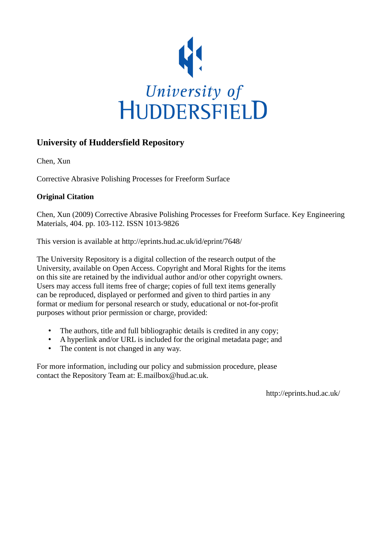

## **University of Huddersfield Repository**

Chen, Xun

Corrective Abrasive Polishing Processes for Freeform Surface

## **Original Citation**

Chen, Xun (2009) Corrective Abrasive Polishing Processes for Freeform Surface. Key Engineering Materials, 404. pp. 103-112. ISSN 1013-9826

This version is available at http://eprints.hud.ac.uk/id/eprint/7648/

The University Repository is a digital collection of the research output of the University, available on Open Access. Copyright and Moral Rights for the items on this site are retained by the individual author and/or other copyright owners. Users may access full items free of charge; copies of full text items generally can be reproduced, displayed or performed and given to third parties in any format or medium for personal research or study, educational or not-for-profit purposes without prior permission or charge, provided:

- The authors, title and full bibliographic details is credited in any copy;
- A hyperlink and/or URL is included for the original metadata page; and
- The content is not changed in any way.

For more information, including our policy and submission procedure, please contact the Repository Team at: E.mailbox@hud.ac.uk.

http://eprints.hud.ac.uk/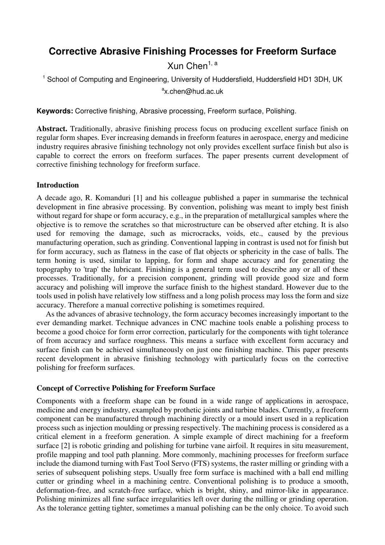# **Corrective Abrasive Finishing Processes for Freeform Surface**

Xun Chen $1, a$ 

<sup>1</sup> School of Computing and Engineering, University of Huddersfield, Huddersfield HD1 3DH, UK <sup>a</sup>x.chen@hud.ac.uk

**Keywords:** Corrective finishing, Abrasive processing, Freeform surface, Polishing.

**Abstract.** Traditionally, abrasive finishing process focus on producing excellent surface finish on regular form shapes. Ever increasing demands in freeform features in aerospace, energy and medicine industry requires abrasive finishing technology not only provides excellent surface finish but also is capable to correct the errors on freeform surfaces. The paper presents current development of corrective finishing technology for freeform surface.

## **Introduction**

A decade ago, R. Komanduri [1] and his colleague published a paper in summarise the technical development in fine abrasive processing. By convention, polishing was meant to imply best finish without regard for shape or form accuracy, e.g., in the preparation of metallurgical samples where the objective is to remove the scratches so that microstructure can be observed after etching. It is also used for removing the damage, such as microcracks, voids, etc., caused by the previous manufacturing operation, such as grinding. Conventional lapping in contrast is used not for finish but for form accuracy, such as flatness in the case of flat objects or sphericity in the case of balls. The term honing is used, similar to lapping, for form and shape accuracy and for generating the topography to 'trap' the lubricant. Finishing is a general term used to describe any or all of these processes. Traditionally, for a precision component, grinding will provide good size and form accuracy and polishing will improve the surface finish to the highest standard. However due to the tools used in polish have relatively low stiffness and a long polish process may loss the form and size accuracy. Therefore a manual corrective polishing is sometimes required.

As the advances of abrasive technology, the form accuracy becomes increasingly important to the ever demanding market. Technique advances in CNC machine tools enable a polishing process to become a good choice for form error correction, particularly for the components with tight tolerance of from accuracy and surface roughness. This means a surface with excellent form accuracy and surface finish can be achieved simultaneously on just one finishing machine. This paper presents recent development in abrasive finishing technology with particularly focus on the corrective polishing for freeform surfaces.

## **Concept of Corrective Polishing for Freeform Surface**

Components with a freeform shape can be found in a wide range of applications in aerospace, medicine and energy industry, exampled by prothetic joints and turbine blades. Currently, a freeform component can be manufactured through machining directly or a mould insert used in a replication process such as injection moulding or pressing respectively. The machining process is considered as a critical element in a freeform generation. A simple example of direct machining for a freeform surface [2] is robotic grinding and polishing for turbine vane airfoil. It requires in situ measurement, profile mapping and tool path planning. More commonly, machining processes for freeform surface include the diamond turning with Fast Tool Servo (FTS) systems, the raster milling or grinding with a series of subsequent polishing steps. Usually free form surface is machined with a ball end milling cutter or grinding wheel in a machining centre. Conventional polishing is to produce a smooth, deformation-free, and scratch-free surface, which is bright, shiny, and mirror-like in appearance. Polishing minimizes all fine surface irregularities left over during the milling or grinding operation. As the tolerance getting tighter, sometimes a manual polishing can be the only choice. To avoid such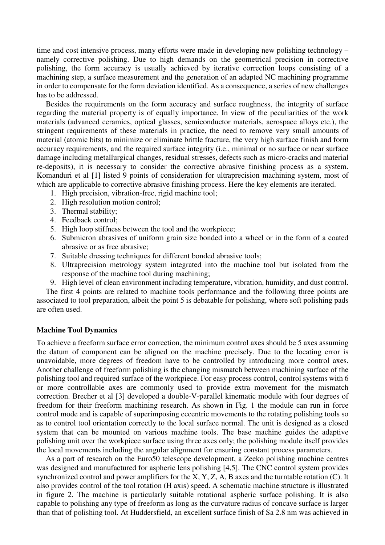time and cost intensive process, many efforts were made in developing new polishing technology – namely corrective polishing. Due to high demands on the geometrical precision in corrective polishing, the form accuracy is usually achieved by iterative correction loops consisting of a machining step, a surface measurement and the generation of an adapted NC machining programme in order to compensate for the form deviation identified. As a consequence, a series of new challenges has to be addressed.

Besides the requirements on the form accuracy and surface roughness, the integrity of surface regarding the material property is of equally importance. In view of the peculiarities of the work materials (advanced ceramics, optical glasses, semiconductor materials, aerospace alloys etc.), the stringent requirements of these materials in practice, the need to remove very small amounts of material (atomic bits) to minimize or eliminate brittle fracture, the very high surface finish and form accuracy requirements, and the required surface integrity (i.e., minimal or no surface or near surface damage including metallurgical changes, residual stresses, defects such as micro-cracks and material re-deposits), it is necessary to consider the corrective abrasive finishing process as a system. Komanduri et al [1] listed 9 points of consideration for ultraprecision machining system, most of which are applicable to corrective abrasive finishing process. Here the key elements are iterated.

- 1. High precision, vibration-free, rigid machine tool;
- 2. High resolution motion control;
- 3. Thermal stability;
- 4. Feedback control;
- 5. High loop stiffness between the tool and the workpiece;
- 6. Submicron abrasives of uniform grain size bonded into a wheel or in the form of a coated abrasive or as free abrasive;
- 7. Suitable dressing techniques for different bonded abrasive tools;
- 8. Ultraprecision metrology system integrated into the machine tool but isolated from the response of the machine tool during machining;
- 9. High level of clean environment including temperature, vibration, humidity, and dust control.

The first 4 points are related to machine tools performance and the following three points are associated to tool preparation, albeit the point 5 is debatable for polishing, where soft polishing pads are often used.

#### **Machine Tool Dynamics**

To achieve a freeform surface error correction, the minimum control axes should be 5 axes assuming the datum of component can be aligned on the machine precisely. Due to the locating error is unavoidable, more degrees of freedom have to be controlled by introducing more control axes. Another challenge of freeform polishing is the changing mismatch between machining surface of the polishing tool and required surface of the workpiece. For easy process control, control systems with 6 or more controllable axes are commonly used to provide extra movement for the mismatch correction. Brecher et al [3] developed a double-V-parallel kinematic module with four degrees of freedom for their freeform machining research. As shown in Fig. 1 the module can run in force control mode and is capable of superimposing eccentric movements to the rotating polishing tools so as to control tool orientation correctly to the local surface normal. The unit is designed as a closed system that can be mounted on various machine tools. The base machine guides the adaptive polishing unit over the workpiece surface using three axes only; the polishing module itself provides the local movements including the angular alignment for ensuring constant process parameters.

As a part of research on the Euro50 telescope development, a Zeeko polishing machine centres was designed and manufactured for aspheric lens polishing [4,5]. The CNC control system provides synchronized control and power amplifiers for the X, Y, Z, A, B axes and the turntable rotation (C). It also provides control of the tool rotation (H axis) speed. A schematic machine structure is illustrated in figure 2. The machine is particularly suitable rotational aspheric surface polishing. It is also capable to polishing any type of freeform as long as the curvature radius of concave surface is larger than that of polishing tool. At Huddersfield, an excellent surface finish of Sa 2.8 nm was achieved in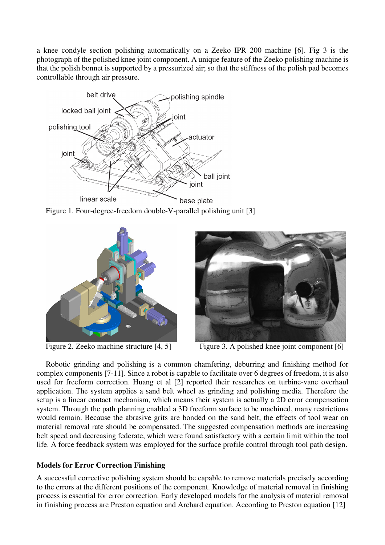a knee condyle section polishing automatically on a Zeeko IPR 200 machine [6]. Fig 3 is the photograph of the polished knee joint component. A unique feature of the Zeeko polishing machine is that the polish bonnet is supported by a pressurized air; so that the stiffness of the polish pad becomes controllable through air pressure.



Figure 1. Four-degree-freedom double-V-parallel polishing unit [3]





Figure 2. Zeeko machine structure [4, 5] Figure 3. A polished knee joint component [6]

Robotic grinding and polishing is a common chamfering, deburring and finishing method for complex components [7-11]. Since a robot is capable to facilitate over 6 degrees of freedom, it is also used for freeform correction. Huang et al [2] reported their researches on turbine-vane overhaul application. The system applies a sand belt wheel as grinding and polishing media. Therefore the setup is a linear contact mechanism, which means their system is actually a 2D error compensation system. Through the path planning enabled a 3D freeform surface to be machined, many restrictions would remain. Because the abrasive grits are bonded on the sand belt, the effects of tool wear on material removal rate should be compensated. The suggested compensation methods are increasing belt speed and decreasing federate, which were found satisfactory with a certain limit within the tool life. A force feedback system was employed for the surface profile control through tool path design.

## **Models for Error Correction Finishing**

A successful corrective polishing system should be capable to remove materials precisely according to the errors at the different positions of the component. Knowledge of material removal in finishing process is essential for error correction. Early developed models for the analysis of material removal in finishing process are Preston equation and Archard equation. According to Preston equation [12]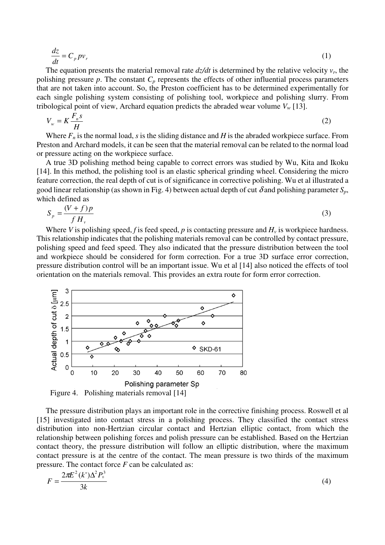$$
\frac{dz}{dt} = C_p p v_r \tag{1}
$$

The equation presents the material removal rate  $\frac{dz}{dt}$  is determined by the relative velocity  $v_r$ , the polishing pressure  $p$ . The constant  $C_p$  represents the effects of other influential process parameters that are not taken into account. So, the Preston coefficient has to be determined experimentally for each single polishing system consisting of polishing tool, workpiece and polishing slurry. From tribological point of view, Archard equation predicts the abraded wear volume  $V_w$  [13].

$$
V_w = K \frac{F_n s}{H}
$$
 (2)

Where  $F_n$  is the normal load, *s* is the sliding distance and *H* is the abraded workpiece surface. From Preston and Archard models, it can be seen that the material removal can be related to the normal load or pressure acting on the workpiece surface.

A true 3D polishing method being capable to correct errors was studied by Wu, Kita and Ikoku [14]. In this method, the polishing tool is an elastic spherical grinding wheel. Considering the micro feature correction, the real depth of cut is of significance in corrective polishing. Wu et al illustrated a good linear relationship (as shown in Fig. 4) between actual depth of cut  $\delta$  and polishing parameter  $S_p$ , which defined as

$$
S_p = \frac{(V+f)p}{fH_v} \tag{3}
$$

Where *V* is polishing speed, *f* is feed speed, *p* is contacting pressure and  $H<sub>v</sub>$  is workpiece hardness. This relationship indicates that the polishing materials removal can be controlled by contact pressure, polishing speed and feed speed. They also indicated that the pressure distribution between the tool and workpiece should be considered for form correction. For a true 3D surface error correction, pressure distribution control will be an important issue. Wu et al [14] also noticed the effects of tool orientation on the materials removal. This provides an extra route for form error correction.



The pressure distribution plays an important role in the corrective finishing process. Roswell et al [15] investigated into contact stress in a polishing process. They classified the contact stress distribution into non-Hertzian circular contact and Hertzian elliptic contact, from which the relationship between polishing forces and polish pressure can be established. Based on the Hertzian contact theory, the pressure distribution will follow an elliptic distribution, where the maximum contact pressure is at the centre of the contact. The mean pressure is two thirds of the maximum pressure. The contact force *F* can be calculated as:

$$
F = \frac{2\pi E^2 (k')\Delta^2 P_0^3}{3k} \tag{4}
$$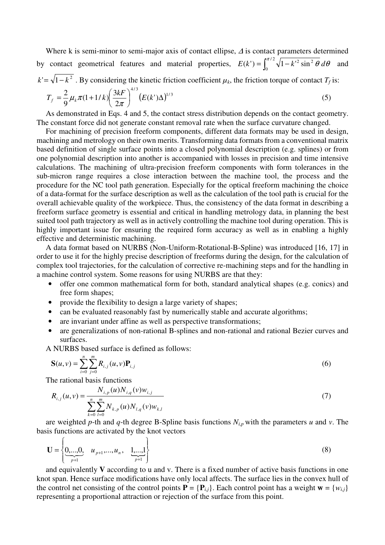Where k is semi-minor to semi-major axis of contact ellipse,  $\Delta$  is contact parameters determined by contact geometrical features and material properties,  $E(k') = \int_0^{\pi/2} \sqrt{1 - k'^2 \sin^2 \theta} d\theta$  $\boldsymbol{0}$  $(k') = \int_{0}^{2\pi/2} \sqrt{1 - k'^2} \sin^2 \theta d\theta$  and

$$
k' = \sqrt{1 - k^2}
$$
. By considering the kinetic friction coefficient  $\mu_k$ , the friction torque of contact  $T_f$  is:

$$
T_f = \frac{2}{9} \mu_k \pi (1 + 1/k) \left(\frac{3k}{2\pi}\right)^{4/3} \left(E(k)\Delta\right)^{1/3} \tag{5}
$$

As demonstrated in Eqs. 4 and 5, the contact stress distribution depends on the contact geometry. The constant force did not generate constant removal rate when the surface curvature changed.

For machining of precision freeform components, different data formats may be used in design, machining and metrology on their own merits. Transforming data formats from a conventional matrix based definition of single surface points into a closed polynomial description (e.g. splines) or from one polynomial description into another is accompanied with losses in precision and time intensive calculations. The machining of ultra-precision freeform components with form tolerances in the sub-micron range requires a close interaction between the machine tool, the process and the procedure for the NC tool path generation. Especially for the optical freeform machining the choice of a data-format for the surface description as well as the calculation of the tool path is crucial for the overall achievable quality of the workpiece. Thus, the consistency of the data format in describing a freeform surface geometry is essential and critical in handling metrology data, in planning the best suited tool path trajectory as well as in actively controlling the machine tool during operation. This is highly important issue for ensuring the required form accuracy as well as in enabling a highly effective and deterministic machining.

A data format based on NURBS (Non-Uniform-Rotational-B-Spline) was introduced [16, 17] in order to use it for the highly precise description of freeforms during the design, for the calculation of complex tool trajectories, for the calculation of corrective re-machining steps and for the handling in a machine control system. Some reasons for using NURBS are that they:

- offer one common mathematical form for both, standard analytical shapes (e.g. conics) and free form shapes;
- provide the flexibility to design a large variety of shapes;
- can be evaluated reasonably fast by numerically stable and accurate algorithms;
- are invariant under affine as well as perspective transformations;
- are generalizations of non-rational B-splines and non-rational and rational Bezier curves and surfaces.

A NURBS based surface is defined as follows:

$$
\mathbf{S}(u,v) = \sum_{i=0}^{n} \sum_{j=0}^{m} R_{i,j}(u,v) \mathbf{P}_{i,j}
$$
(6)

The rational basis functions

$$
R_{i,j}(u,v) = \frac{N_{i,p}(u)N_{i,q}(v)w_{i,j}}{\sum_{k=0}^{n} \sum_{l=0}^{m} N_{k,p}(u)N_{l,q}(v)w_{k,l}}
$$
(7)

are weighted *p*-th and *q*-th degree B-Spline basis functions *Ni,p* with the parameters *u* and *v*. The basis functions are activated by the knot vectors

$$
\mathbf{U} = \left\{ \underbrace{0,...,0}_{p+1}, \quad u_{p+1},...,u_n, \quad \underbrace{1,...,1}_{p+1} \right\}
$$
 (8)

and equivalently **V** according to u and v. There is a fixed number of active basis functions in one knot span. Hence surface modifications have only local affects. The surface lies in the convex hull of the control net consisting of the control points  $P = \{P_{i,j}\}\$ . Each control point has a weight  $w = \{w_{i,j}\}\$ representing a proportional attraction or rejection of the surface from this point.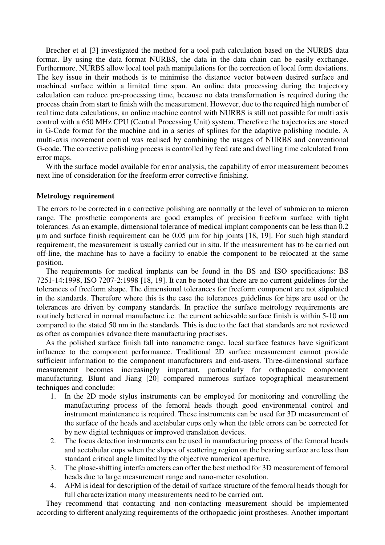Brecher et al [3] investigated the method for a tool path calculation based on the NURBS data format. By using the data format NURBS, the data in the data chain can be easily exchange. Furthermore, NURBS allow local tool path manipulations for the correction of local form deviations. The key issue in their methods is to minimise the distance vector between desired surface and machined surface within a limited time span. An online data processing during the trajectory calculation can reduce pre-processing time, because no data transformation is required during the process chain from start to finish with the measurement. However, due to the required high number of real time data calculations, an online machine control with NURBS is still not possible for multi axis control with a 650 MHz CPU (Central Processing Unit) system. Therefore the trajectories are stored in G-Code format for the machine and in a series of splines for the adaptive polishing module. A multi-axis movement control was realised by combining the usages of NURBS and conventional G-code. The corrective polishing process is controlled by feed rate and dwelling time calculated from error maps.

With the surface model available for error analysis, the capability of error measurement becomes next line of consideration for the freeform error corrective finishing.

#### **Metrology requirement**

The errors to be corrected in a corrective polishing are normally at the level of submicron to micron range. The prosthetic components are good examples of precision freeform surface with tight tolerances. As an example, dimensional tolerance of medical implant components can be less than 0.2 µm and surface finish requirement can be 0.05 µm for hip joints [18, 19]. For such high standard requirement, the measurement is usually carried out in situ. If the measurement has to be carried out off-line, the machine has to have a facility to enable the component to be relocated at the same position.

The requirements for medical implants can be found in the BS and ISO specifications: BS 7251-14:1998, ISO 7207-2:1998 [18, 19]. It can be noted that there are no current guidelines for the tolerances of freeform shape. The dimensional tolerances for freeform component are not stipulated in the standards. Therefore where this is the case the tolerances guidelines for hips are used or the tolerances are driven by company standards. In practice the surface metrology requirements are routinely bettered in normal manufacture i.e. the current achievable surface finish is within 5-10 nm compared to the stated 50 nm in the standards. This is due to the fact that standards are not reviewed as often as companies advance there manufacturing practises.

As the polished surface finish fall into nanometre range, local surface features have significant influence to the component performance. Traditional 2D surface measurement cannot provide sufficient information to the component manufacturers and end-users. Three-dimensional surface measurement becomes increasingly important, particularly for orthopaedic component manufacturing. Blunt and Jiang [20] compared numerous surface topographical measurement techniques and conclude:

- 1. In the 2D mode stylus instruments can be employed for monitoring and controlling the manufacturing process of the femoral heads though good environmental control and instrument maintenance is required. These instruments can be used for 3D measurement of the surface of the heads and acetabular cups only when the table errors can be corrected for by new digital techniques or improved translation devices.
- 2. The focus detection instruments can be used in manufacturing process of the femoral heads and acetabular cups when the slopes of scattering region on the bearing surface are less than standard critical angle limited by the objective numerical aperture.
- 3. The phase-shifting interferometers can offer the best method for 3D measurement of femoral heads due to large measurement range and nano-meter resolution.
- 4. AFM is ideal for description of the detail of surface structure of the femoral heads though for full characterization many measurements need to be carried out.

They recommend that contacting and non-contacting measurement should be implemented according to different analyzing requirements of the orthopaedic joint prostheses. Another important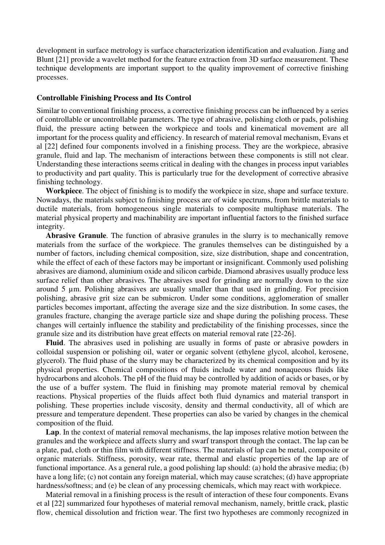development in surface metrology is surface characterization identification and evaluation. Jiang and Blunt [21] provide a wavelet method for the feature extraction from 3D surface measurement. These technique developments are important support to the quality improvement of corrective finishing processes.

#### **Controllable Finishing Process and Its Control**

Similar to conventional finishing process, a corrective finishing process can be influenced by a series of controllable or uncontrollable parameters. The type of abrasive, polishing cloth or pads, polishing fluid, the pressure acting between the workpiece and tools and kinematical movement are all important for the process quality and efficiency. In research of material removal mechanism, Evans et al [22] defined four components involved in a finishing process. They are the workpiece, abrasive granule, fluid and lap. The mechanism of interactions between these components is still not clear. Understanding these interactions seems critical in dealing with the changes in process input variables to productivity and part quality. This is particularly true for the development of corrective abrasive finishing technology.

**Workpiece**. The object of finishing is to modify the workpiece in size, shape and surface texture. Nowadays, the materials subject to finishing process are of wide spectrums, from brittle materials to ductile materials, from homogeneous single materials to composite multiphase materials. The material physical property and machinability are important influential factors to the finished surface integrity.

**Abrasive Granule**. The function of abrasive granules in the slurry is to mechanically remove materials from the surface of the workpiece. The granules themselves can be distinguished by a number of factors, including chemical composition, size, size distribution, shape and concentration, while the effect of each of these factors may be important or insignificant. Commonly used polishing abrasives are diamond, aluminium oxide and silicon carbide. Diamond abrasives usually produce less surface relief than other abrasives. The abrasives used for grinding are normally down to the size around 5 µm. Polishing abrasives are usually smaller than that used in grinding. For precision polishing, abrasive grit size can be submicron. Under some conditions, agglomeration of smaller particles becomes important, affecting the average size and the size distribution. In some cases, the granules fracture, changing the average particle size and shape during the polishing process. These changes will certainly influence the stability and predictability of the finishing processes, since the granule size and its distribution have great effects on material removal rate [22-26].

**Fluid**. The abrasives used in polishing are usually in forms of paste or abrasive powders in colloidal suspension or polishing oil, water or organic solvent (ethylene glycol, alcohol, kerosene, glycerol). The fluid phase of the slurry may be characterized by its chemical composition and by its physical properties. Chemical compositions of fluids include water and nonaqueous fluids like hydrocarbons and alcohols. The pH of the fluid may be controlled by addition of acids or bases, or by the use of a buffer system. The fluid in finishing may promote material removal by chemical reactions. Physical properties of the fluids affect both fluid dynamics and material transport in polishing. These properties include viscosity, density and thermal conductivity, all of which are pressure and temperature dependent. These properties can also be varied by changes in the chemical composition of the fluid.

Lap. In the context of material removal mechanisms, the lap imposes relative motion between the granules and the workpiece and affects slurry and swarf transport through the contact. The lap can be a plate, pad, cloth or thin film with different stiffness. The materials of lap can be metal, composite or organic materials. Stiffness, porosity, wear rate, thermal and elastic properties of the lap are of functional importance. As a general rule, a good polishing lap should: (a) hold the abrasive media; (b) have a long life; (c) not contain any foreign material, which may cause scratches; (d) have appropriate hardness/softness; and (e) be clean of any processing chemicals, which may react with workpiece.

Material removal in a finishing process is the result of interaction of these four components. Evans et al [22] summarized four hypotheses of material removal mechanism, namely, brittle crack, plastic flow, chemical dissolution and friction wear. The first two hypotheses are commonly recognized in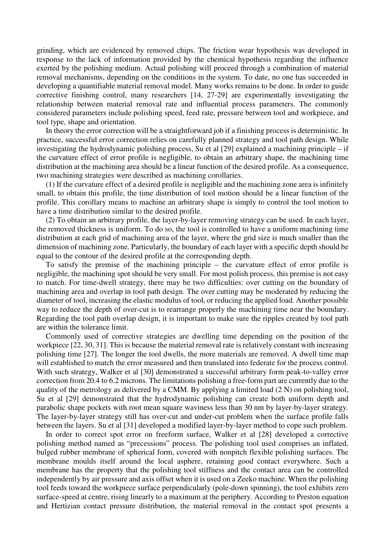grinding, which are evidenced by removed chips. The friction wear hypothesis was developed in response to the lack of information provided by the chemical hypothesis regarding the influence exerted by the polishing medium. Actual polishing will proceed through a combination of material removal mechanisms, depending on the conditions in the system. To date, no one has succeeded in developing a quantifiable material removal model. Many works remains to be done. In order to guide corrective finishing control, many researchers [14, 27-29] are experimentally investigating the relationship between material removal rate and influential process parameters. The commonly considered parameters include polishing speed, feed rate, pressure between tool and workpiece, and tool type, shape and orientation.

In theory the error correction will be a straightforward job if a finishing process is deterministic. In practice, successful error correction relies on carefully planned strategy and tool path design. While investigating the hydrodynamic polishing process, Su et al [29] explained a machining principle – if the curvature effect of error profile is negligible, to obtain an arbitrary shape, the machining time distribution at the machining area should be a linear function of the desired profile. As a consequence, two machining strategies were described as machining corollaries.

(1) If the curvature effect of a desired profile is negligible and the machining zone area is infinitely small, to obtain this profile, the time distribution of tool motion should be a linear function of the profile. This corollary means to machine an arbitrary shape is simply to control the tool motion to have a time distribution similar to the desired profile.

(2) To obtain an arbitrary profile, the layer-by-layer removing strategy can be used. In each layer, the removed thickness is uniform. To do so, the tool is controlled to have a uniform machining time distribution at each grid of machining area of the layer, where the grid size is much smaller than the dimension of machining zone. Particularly, the boundary of each layer with a specific depth should be equal to the contour of the desired profile at the corresponding depth.

To satisfy the premise of the machining principle – the curvature effect of error profile is negligible, the machining spot should be very small. For most polish process, this premise is not easy to match. For time-dwell strategy, there may be two difficulties: over cutting on the boundary of machining area and overlap in tool path design. The over cutting may be moderated by reducing the diameter of tool, increasing the elastic modulus of tool, or reducing the applied load. Another possible way to reduce the depth of over-cut is to rearrange properly the machining time near the boundary. Regarding the tool path overlap design, it is important to make sure the ripples created by tool path are within the tolerance limit.

Commonly used of corrective strategies are dwelling time depending on the position of the workpiece [22, 30, 31]. This is because the material removal rate is relatively constant with increasing polishing time [27]. The longer the tool dwells, the more materials are removed. A dwell time map will established to match the error measured and then translated into federate for the process control. With such strategy, Walker et al [30] demonstrated a successful arbitrary form peak-to-valley error correction from 20.4 to 6.2 microns. The limitations polishing a free-form part are currently due to the quality of the metrology as delivered by a CMM. By applying a limited load (2 N) on polishing tool, Su et al [29] demonstrated that the hydrodynamic polishing can create both uniform depth and parabolic shape pockets with root mean square waviness less than 30 nm by layer-by-layer strategy. The layer-by-layer strategy still has over-cut and under-cut problem when the surface profile falls between the layers. Su et al [31] developed a modified layer-by-layer method to cope such problem.

In order to correct spot error on freeform surface, Walker et al [28] developed a corrective polishing method named as "precessions" process. The polishing tool used comprises an inflated, bulged rubber membrane of spherical form, covered with nonpitch flexible polishing surfaces. The membrane moulds itself around the local asphere, retaining good contact everywhere. Such a membrane has the property that the polishing tool stiffness and the contact area can be controlled independently by air pressure and axis offset when it is used on a Zeeko machine. When the polishing tool feeds toward the workpiece surface perpendicularly (pole-down spinning), the tool exhibits zero surface-speed at centre, rising linearly to a maximum at the periphery. According to Preston equation and Hertizian contact pressure distribution, the material removal in the contact spot presents a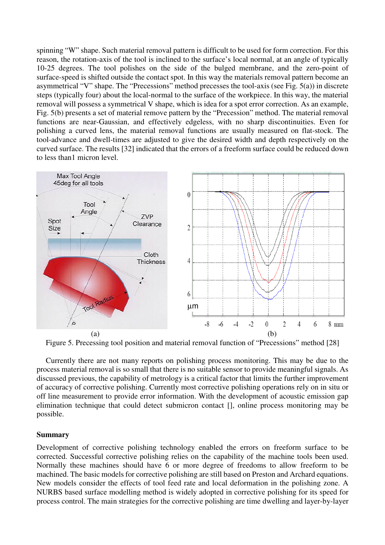spinning "W" shape. Such material removal pattern is difficult to be used for form correction. For this reason, the rotation-axis of the tool is inclined to the surface's local normal, at an angle of typically 10-25 degrees. The tool polishes on the side of the bulged membrane, and the zero-point of surface-speed is shifted outside the contact spot. In this way the materials removal pattern become an asymmetrical "V" shape. The "Precessions" method precesses the tool-axis (see Fig. 5(a)) in discrete steps (typically four) about the local-normal to the surface of the workpiece. In this way, the material removal will possess a symmetrical V shape, which is idea for a spot error correction. As an example, Fig. 5(b) presents a set of material remove pattern by the "Precession" method. The material removal functions are near-Gaussian, and effectively edgeless, with no sharp discontinuities. Even for polishing a curved lens, the material removal functions are usually measured on flat-stock. The tool-advance and dwell-times are adjusted to give the desired width and depth respectively on the curved surface. The results [32] indicated that the errors of a freeform surface could be reduced down to less than1 micron level.



Figure 5. Precessing tool position and material removal function of "Precessions" method [28]

Currently there are not many reports on polishing process monitoring. This may be due to the process material removal is so small that there is no suitable sensor to provide meaningful signals. As discussed previous, the capability of metrology is a critical factor that limits the further improvement of accuracy of corrective polishing. Currently most corrective polishing operations rely on in situ or off line measurement to provide error information. With the development of acoustic emission gap elimination technique that could detect submicron contact [], online process monitoring may be possible.

#### **Summary**

Development of corrective polishing technology enabled the errors on freeform surface to be corrected. Successful corrective polishing relies on the capability of the machine tools been used. Normally these machines should have 6 or more degree of freedoms to allow freeform to be machined. The basic models for corrective polishing are still based on Preston and Archard equations. New models consider the effects of tool feed rate and local deformation in the polishing zone. A NURBS based surface modelling method is widely adopted in corrective polishing for its speed for process control. The main strategies for the corrective polishing are time dwelling and layer-by-layer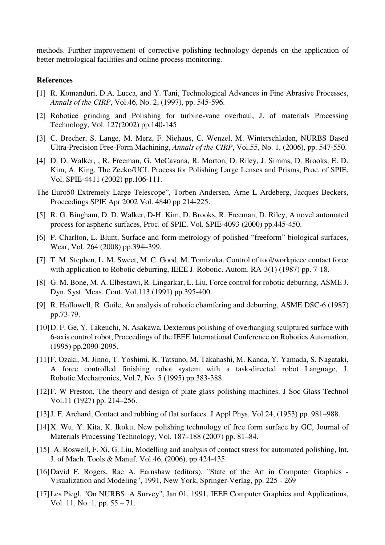methods. Further improvement of corrective polishing technology depends on the application of better metrological facilities and online process monitoring.

#### **References**

- [1] R. Komanduri, D.A. Lucca, and Y. Tani, Technological Advances in Fine Abrasive Processes, *Annals of the CIRP*, Vol.46, No. 2, (1997), pp. 545-596.
- [2] Robotice grinding and Polishing for turbine-vane overhaul, J. of materials Processing Technology, Vol. 127(2002) pp.140-145
- [3] C. Brecher, S. Lange, M. Merz, F. Niehaus, C. Wenzel, M. Winterschladen, NURBS Based Ultra-Precision Free-Form Machining, *Annals of the CIRP*, Vol.55, No. 1, (2006), pp. 547-550.
- [4] D. D. Walker, , R. Freeman, G. McCavana, R. Morton, D. Riley, J. Simms, D. Brooks, E. D. Kim, A. King, The Zeeko/UCL Process for Polishing Large Lenses and Prisms, Proc. of SPIE, Vol. SPIE-4411 (2002) pp.106-111.
- The Euro50 Extremely Large Telescope", Torben Andersen, Arne L Ardeberg, Jacques Beckers, Proceedings SPIE Apr 2002 Vol. 4840 pp 214-225.
- [5] R. G. Bingham, D. D. Walker, D-H. Kim, D. Brooks, R. Freeman, D. Riley, A novel automated process for aspheric surfaces, Proc. of SPIE, Vol. SPIE-4093 (2000) pp.445-450.
- [6] P. Charlton, L. Blunt, Surface and form metrology of polished "freeform" biological surfaces, Wear, Vol. 264 (2008) pp.394–399.
- [7] T. M. Stephen, L. M. Sweet, M. C. Good, M. Tomizuka, Control of tool/workpiece contact force with application to Robotic deburring, IEEE J. Robotic. Autom. RA-3(1) (1987) pp. 7-18.
- [8] G. M. Bone, M. A. Elbestawi, R. Lingarkar, L. Liu, Force control for robotic deburring, ASME J. Dyn. Syst. Meas. Cont. Vol.113 (1991) pp.395-400.
- [9] R. Hollowell, R. Guile, An analysis of robotic chamfering and deburring, ASME DSC-6 (1987) pp.73-79.
- [10] D. F. Ge, Y. Takeuchi, N. Asakawa, Dexterous polishing of overhanging sculptured surface with 6-axis control robot, Proceedings of the IEEE International Conference on Robotics Automation, (1995) pp.2090-2095.
- [11] F. Ozaki, M. Jinno, T. Yoshimi, K. Tatsuno, M. Takahashi, M. Kanda, Y. Yamada, S. Nagataki, A force controlled finishing robot system with a task-directed robot Language, J. Robotic.Mechatronics, Vol.7, No. 5 (1995) pp.383-388.
- [12] F. W Preston, The theory and design of plate glass polishing machines. J Soc Glass Technol Vol.11 (1927) pp. 214–256.
- [13] J. F. Archard, Contact and rubbing of flat surfaces. J Appl Phys. Vol.24, (1953) pp. 981–988.
- [14] X. Wu, Y. Kita, K. Ikoku, New polishing technology of free form surface by GC, Journal of Materials Processing Technology, Vol. 187–188 (2007) pp. 81–84.
- [15] A. Roswell, F. Xi, G. Liu, Modelling and analysis of contact stress for automated polishing, Int. J. of Mach. Tools & Manuf. Vol.46, (2006), pp.424-435.
- [16] David F. Rogers, Rae A. Earnshaw (editors), "State of the Art in Computer Graphics Visualization and Modeling", 1991, New York, Springer-Verlag, pp. 225 - 269
- [17] Les Piegl, "On NURBS: A Survey", Jan 01, 1991, IEEE Computer Graphics and Applications, Vol. 11, No. 1, pp. 55 – 71.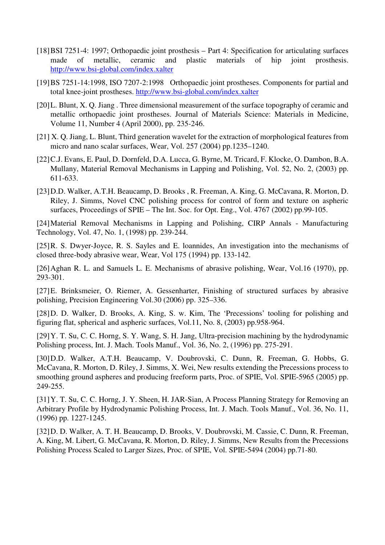- [18] BSI 7251-4: 1997; Orthopaedic joint prosthesis Part 4: Specification for articulating surfaces made of metallic, ceramic and plastic materials of hip joint prosthesis. http://www.bsi-global.com/index.xalter
- [19] BS 7251-14:1998, ISO 7207-2:1998 Orthopaedic joint prostheses. Components for partial and total knee-joint prostheses. http://www.bsi-global.com/index.xalter
- [20] L. Blunt, X. Q. Jiang . Three dimensional measurement of the surface topography of ceramic and metallic orthopaedic joint prostheses. Journal of Materials Science: Materials in Medicine, Volume 11, Number 4 (April 2000), pp. 235-246.
- [21] X. Q. Jiang, L. Blunt, Third generation wavelet for the extraction of morphological features from micro and nano scalar surfaces, Wear, Vol. 257 (2004) pp.1235–1240.
- [22] C.J. Evans, E. Paul, D. Dornfeld, D.A. Lucca, G. Byrne, M. Tricard, F. Klocke, O. Dambon, B.A. Mullany, Material Removal Mechanisms in Lapping and Polishing, Vol. 52, No. 2, (2003) pp. 611-633.
- [23] D.D. Walker, A.T.H. Beaucamp, D. Brooks , R. Freeman, A. King, G. McCavana, R. Morton, D. Riley, J. Simms, Novel CNC polishing process for control of form and texture on aspheric surfaces, Proceedings of SPIE – The Int. Soc. for Opt. Eng., Vol. 4767 (2002) pp.99-105.

[24] Material Removal Mechanisms in Lapping and Polishing, CIRP Annals - Manufacturing Technology, Vol. 47, No. 1, (1998) pp. 239-244.

[25] R. S. Dwyer-Joyce, R. S. Sayles and E. loannides, An investigation into the mechanisms of closed three-body abrasive wear, Wear, Vol 175 (1994) pp. 133-142.

[26] Aghan R. L. and Samuels L. E. Mechanisms of abrasive polishing, Wear, Vol.16 (1970), pp. 293-301.

[27] E. Brinksmeier, O. Riemer, A. Gessenharter, Finishing of structured surfaces by abrasive polishing, Precision Engineering Vol.30 (2006) pp. 325–336.

[28] D. D. Walker, D. Brooks, A. King, S. w. Kim, The 'Precessions' tooling for polishing and figuring flat, spherical and aspheric surfaces, Vol.11, No. 8, (2003) pp.958-964.

[29] Y. T. Su, C. C. Horng, S. Y. Wang, S. H. Jang, Ultra-precision machining by the hydrodynamic Polishing process, Int. J. Mach. Tools Manuf., Vol. 36, No. 2, (1996) pp. 275-291.

[30] D.D. Walker, A.T.H. Beaucamp, V. Doubrovski, C. Dunn, R. Freeman, G. Hobbs, G. McCavana, R. Morton, D. Riley, J. Simms, X. Wei, New results extending the Precessions process to smoothing ground aspheres and producing freeform parts, Proc. of SPIE, Vol. SPIE-5965 (2005) pp. 249-255.

[31] Y. T. Su, C. C. Horng, J. Y. Sheen, H. JAR-Sian, A Process Planning Strategy for Removing an Arbitrary Profile by Hydrodynamic Polishing Process, Int. J. Mach. Tools Manuf., Vol. 36, No. 11, (1996) pp. 1227-1245.

[32] D. D. Walker, A. T. H. Beaucamp, D. Brooks, V. Doubrovski, M. Cassie, C. Dunn, R. Freeman, A. King, M. Libert, G. McCavana, R. Morton, D. Riley, J. Simms, New Results from the Precessions Polishing Process Scaled to Larger Sizes, Proc. of SPIE, Vol. SPIE-5494 (2004) pp.71-80.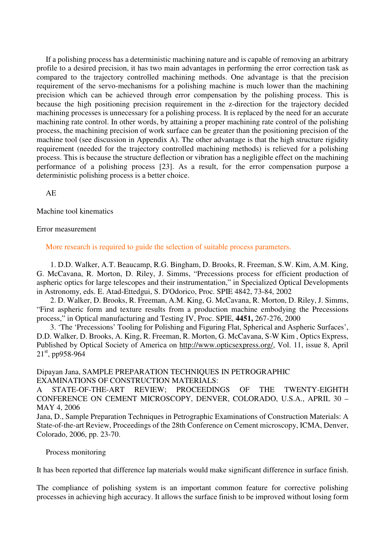If a polishing process has a deterministic machining nature and is capable of removing an arbitrary profile to a desired precision, it has two main advantages in performing the error correction task as compared to the trajectory controlled machining methods. One advantage is that the precision requirement of the servo-mechanisms for a polishing machine is much lower than the machining precision which can be achieved through error compensation by the polishing process. This is because the high positioning precision requirement in the z-direction for the trajectory decided machining processes is unnecessary for a polishing process. It is replaced by the need for an accurate machining rate control. In other words, by attaining a proper machining rate control of the polishing process, the machining precision of work surface can be greater than the positioning precision of the machine tool (see discussion in Appendix A). The other advantage is that the high structure rigidity requirement (needed for the trajectory controlled machining methods) is relieved for a polishing process. This is because the structure deflection or vibration has a negligible effect on the machining performance of a polishing process [23]. As a result, for the error compensation purpose a deterministic polishing process is a better choice.

AE

#### Machine tool kinematics

#### Error measurement

More research is required to guide the selection of suitable process parameters.

1. D.D. Walker, A.T. Beaucamp, R.G. Bingham, D. Brooks, R. Freeman, S.W. Kim, A.M. King, G. McCavana, R. Morton, D. Riley, J. Simms, "Precessions process for efficient production of aspheric optics for large telescopes and their instrumentation," in Specialized Optical Developments in Astronomy, eds. E. Atad-Ettedgui, S. D'Odorico, Proc. SPIE 4842, 73-84, 2002

2. D. Walker, D. Brooks, R. Freeman, A.M. King, G. McCavana, R. Morton, D. Riley, J. Simms, "First aspheric form and texture results from a production machine embodying the Precessions process," in Optical manufacturing and Testing IV, Proc. SPIE, **4451,** 267-276, 2000

3. 'The 'Precessions' Tooling for Polishing and Figuring Flat, Spherical and Aspheric Surfaces', D.D. Walker, D. Brooks, A. King, R. Freeman, R. Morton, G. McCavana, S-W Kim , Optics Express, Published by Optical Society of America on http://www.opticsexpress.org/, Vol. 11, issue 8, April 21<sup>st</sup>, pp958-964

### Dipayan Jana, SAMPLE PREPARATION TECHNIQUES IN PETROGRAPHIC EXAMINATIONS OF CONSTRUCTION MATERIALS:

A STATE-OF-THE-ART REVIEW; PROCEEDINGS OF THE TWENTY-EIGHTH CONFERENCE ON CEMENT MICROSCOPY, DENVER, COLORADO, U.S.A., APRIL 30 – MAY 4, 2006

Jana, D., Sample Preparation Techniques in Petrographic Examinations of Construction Materials: A State-of-the-art Review, Proceedings of the 28th Conference on Cement microscopy, ICMA, Denver, Colorado, 2006, pp. 23-70.

#### Process monitoring

It has been reported that difference lap materials would make significant difference in surface finish.

The compliance of polishing system is an important common feature for corrective polishing processes in achieving high accuracy. It allows the surface finish to be improved without losing form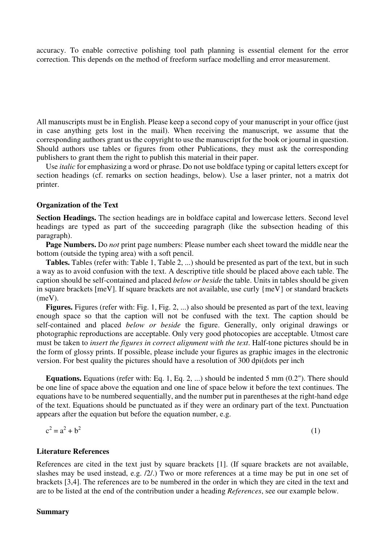accuracy. To enable corrective polishing tool path planning is essential element for the error correction. This depends on the method of freeform surface modelling and error measurement.

All manuscripts must be in English. Please keep a second copy of your manuscript in your office (just in case anything gets lost in the mail). When receiving the manuscript, we assume that the corresponding authors grant us the copyright to use the manuscript for the book or journal in question. Should authors use tables or figures from other Publications, they must ask the corresponding publishers to grant them the right to publish this material in their paper.

Use *italic* for emphasizing a word or phrase. Do not use boldface typing or capital letters except for section headings (cf. remarks on section headings, below). Use a laser printer, not a matrix dot printer.

#### **Organization of the Text**

**Section Headings.** The section headings are in boldface capital and lowercase letters. Second level headings are typed as part of the succeeding paragraph (like the subsection heading of this paragraph).

**Page Numbers.** Do *not* print page numbers: Please number each sheet toward the middle near the bottom (outside the typing area) with a soft pencil.

**Tables.** Tables (refer with: Table 1, Table 2, ...) should be presented as part of the text, but in such a way as to avoid confusion with the text. A descriptive title should be placed above each table. The caption should be self-contained and placed *below or beside* the table. Units in tables should be given in square brackets [meV]. If square brackets are not available, use curly {meV} or standard brackets (meV).

**Figures.** Figures (refer with: Fig. 1, Fig. 2, ...) also should be presented as part of the text, leaving enough space so that the caption will not be confused with the text. The caption should be self-contained and placed *below or beside* the figure. Generally, only original drawings or photographic reproductions are acceptable. Only very good photocopies are acceptable. Utmost care must be taken to *insert the figures in correct alignment with the text*. Half-tone pictures should be in the form of glossy prints. If possible, please include your figures as graphic images in the electronic version. For best quality the pictures should have a resolution of 300 dpi(dots per inch

**Equations.** Equations (refer with: Eq. 1, Eq. 2, ...) should be indented 5 mm (0.2"). There should be one line of space above the equation and one line of space below it before the text continues. The equations have to be numbered sequentially, and the number put in parentheses at the right-hand edge of the text. Equations should be punctuated as if they were an ordinary part of the text. Punctuation appears after the equation but before the equation number, e.g.

$$
c^2 = a^2 + b^2 \tag{1}
$$

#### **Literature References**

References are cited in the text just by square brackets [1]. (If square brackets are not available, slashes may be used instead, e.g. /2/.) Two or more references at a time may be put in one set of brackets [3,4]. The references are to be numbered in the order in which they are cited in the text and are to be listed at the end of the contribution under a heading *References*, see our example below.

#### **Summary**